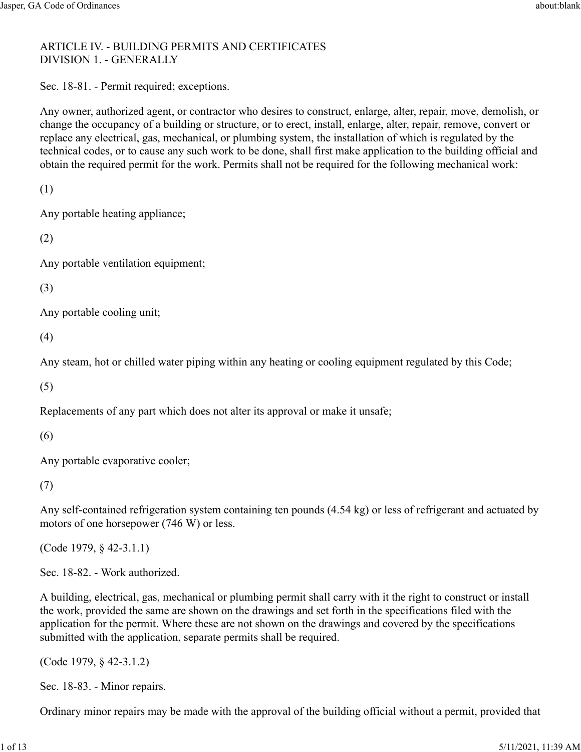## ARTICLE IV. - BUILDING PERMITS AND CERTIFICATES DIVISION 1. - GENERALLY

Sec. 18-81. - Permit required; exceptions.

Any owner, authorized agent, or contractor who desires to construct, enlarge, alter, repair, move, demolish, or change the occupancy of a building or structure, or to erect, install, enlarge, alter, repair, remove, convert or replace any electrical, gas, mechanical, or plumbing system, the installation of which is regulated by the technical codes, or to cause any such work to be done, shall first make application to the building official and obtain the required permit for the work. Permits shall not be required for the following mechanical work:

(1)

Any portable heating appliance;

(2)

Any portable ventilation equipment;

(3)

Any portable cooling unit;

(4)

Any steam, hot or chilled water piping within any heating or cooling equipment regulated by this Code;

(5)

Replacements of any part which does not alter its approval or make it unsafe;

(6)

Any portable evaporative cooler;

(7)

Any self-contained refrigeration system containing ten pounds (4.54 kg) or less of refrigerant and actuated by motors of one horsepower (746 W) or less.

(Code 1979, § 42-3.1.1)

Sec. 18-82. - Work authorized.

A building, electrical, gas, mechanical or plumbing permit shall carry with it the right to construct or install the work, provided the same are shown on the drawings and set forth in the specifications filed with the application for the permit. Where these are not shown on the drawings and covered by the specifications submitted with the application, separate permits shall be required.

(Code 1979, § 42-3.1.2)

Sec. 18-83. - Minor repairs.

Ordinary minor repairs may be made with the approval of the building official without a permit, provided that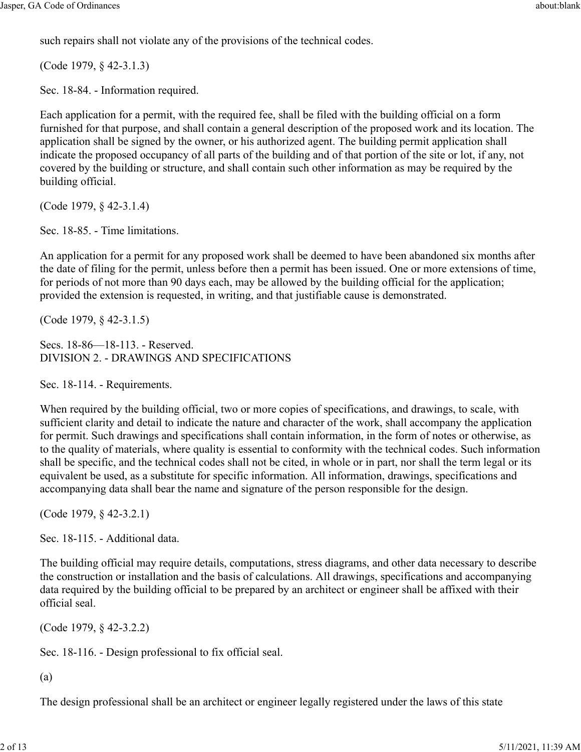such repairs shall not violate any of the provisions of the technical codes.

(Code 1979, § 42-3.1.3)

Sec. 18-84. - Information required.

Each application for a permit, with the required fee, shall be filed with the building official on a form furnished for that purpose, and shall contain a general description of the proposed work and its location. The application shall be signed by the owner, or his authorized agent. The building permit application shall indicate the proposed occupancy of all parts of the building and of that portion of the site or lot, if any, not covered by the building or structure, and shall contain such other information as may be required by the building official.

(Code 1979, § 42-3.1.4)

Sec. 18-85. - Time limitations.

An application for a permit for any proposed work shall be deemed to have been abandoned six months after the date of filing for the permit, unless before then a permit has been issued. One or more extensions of time, for periods of not more than 90 days each, may be allowed by the building official for the application; provided the extension is requested, in writing, and that justifiable cause is demonstrated.

(Code 1979, § 42-3.1.5)

Secs. 18-86—18-113. - Reserved. DIVISION 2. - DRAWINGS AND SPECIFICATIONS

Sec. 18-114. - Requirements.

When required by the building official, two or more copies of specifications, and drawings, to scale, with sufficient clarity and detail to indicate the nature and character of the work, shall accompany the application for permit. Such drawings and specifications shall contain information, in the form of notes or otherwise, as to the quality of materials, where quality is essential to conformity with the technical codes. Such information shall be specific, and the technical codes shall not be cited, in whole or in part, nor shall the term legal or its equivalent be used, as a substitute for specific information. All information, drawings, specifications and accompanying data shall bear the name and signature of the person responsible for the design.

(Code 1979, § 42-3.2.1)

Sec. 18-115. - Additional data.

The building official may require details, computations, stress diagrams, and other data necessary to describe the construction or installation and the basis of calculations. All drawings, specifications and accompanying data required by the building official to be prepared by an architect or engineer shall be affixed with their official seal.

(Code 1979, § 42-3.2.2)

Sec. 18-116. - Design professional to fix official seal.

(a)

The design professional shall be an architect or engineer legally registered under the laws of this state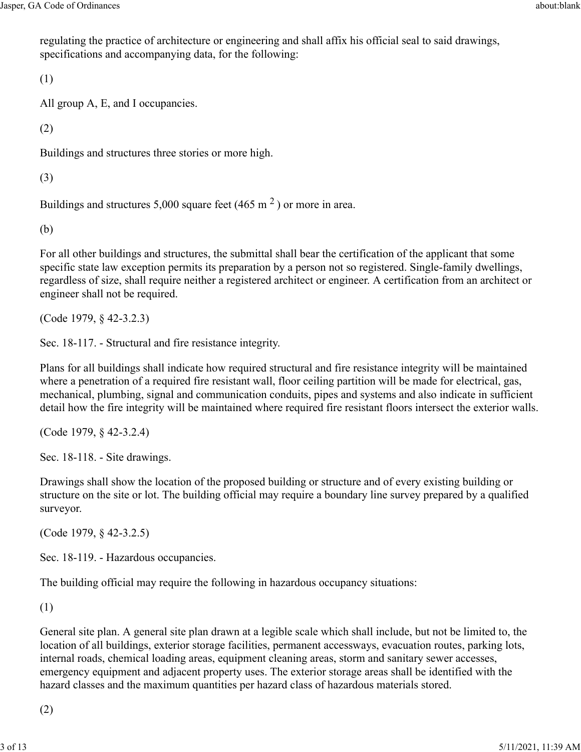regulating the practice of architecture or engineering and shall affix his official seal to said drawings, specifications and accompanying data, for the following:

(1)

All group A, E, and I occupancies.

(2)

Buildings and structures three stories or more high.

(3)

Buildings and structures 5,000 square feet (465 m<sup>2</sup>) or more in area.

(b)

For all other buildings and structures, the submittal shall bear the certification of the applicant that some specific state law exception permits its preparation by a person not so registered. Single-family dwellings, regardless of size, shall require neither a registered architect or engineer. A certification from an architect or engineer shall not be required.

(Code 1979, § 42-3.2.3)

Sec. 18-117. - Structural and fire resistance integrity.

Plans for all buildings shall indicate how required structural and fire resistance integrity will be maintained where a penetration of a required fire resistant wall, floor ceiling partition will be made for electrical, gas, mechanical, plumbing, signal and communication conduits, pipes and systems and also indicate in sufficient detail how the fire integrity will be maintained where required fire resistant floors intersect the exterior walls.

(Code 1979, § 42-3.2.4)

Sec. 18-118. - Site drawings.

Drawings shall show the location of the proposed building or structure and of every existing building or structure on the site or lot. The building official may require a boundary line survey prepared by a qualified surveyor.

(Code 1979, § 42-3.2.5)

Sec. 18-119. - Hazardous occupancies.

The building official may require the following in hazardous occupancy situations:

(1)

General site plan. A general site plan drawn at a legible scale which shall include, but not be limited to, the location of all buildings, exterior storage facilities, permanent accessways, evacuation routes, parking lots, internal roads, chemical loading areas, equipment cleaning areas, storm and sanitary sewer accesses, emergency equipment and adjacent property uses. The exterior storage areas shall be identified with the hazard classes and the maximum quantities per hazard class of hazardous materials stored.

(2)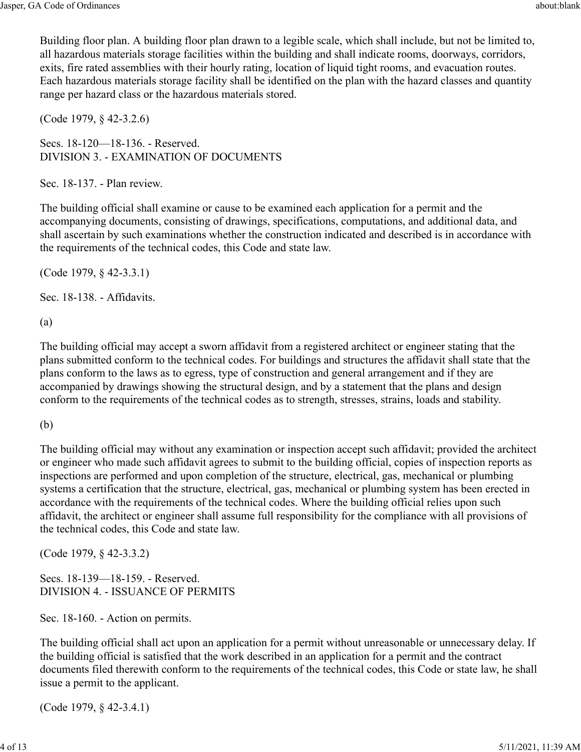Building floor plan. A building floor plan drawn to a legible scale, which shall include, but not be limited to, all hazardous materials storage facilities within the building and shall indicate rooms, doorways, corridors, exits, fire rated assemblies with their hourly rating, location of liquid tight rooms, and evacuation routes. Each hazardous materials storage facility shall be identified on the plan with the hazard classes and quantity range per hazard class or the hazardous materials stored.

(Code 1979, § 42-3.2.6)

Secs. 18-120—18-136. - Reserved. DIVISION 3. - EXAMINATION OF DOCUMENTS

Sec. 18-137. - Plan review.

The building official shall examine or cause to be examined each application for a permit and the accompanying documents, consisting of drawings, specifications, computations, and additional data, and shall ascertain by such examinations whether the construction indicated and described is in accordance with the requirements of the technical codes, this Code and state law.

(Code 1979, § 42-3.3.1)

Sec. 18-138. - Affidavits.

(a)

The building official may accept a sworn affidavit from a registered architect or engineer stating that the plans submitted conform to the technical codes. For buildings and structures the affidavit shall state that the plans conform to the laws as to egress, type of construction and general arrangement and if they are accompanied by drawings showing the structural design, and by a statement that the plans and design conform to the requirements of the technical codes as to strength, stresses, strains, loads and stability.

(b)

The building official may without any examination or inspection accept such affidavit; provided the architect or engineer who made such affidavit agrees to submit to the building official, copies of inspection reports as inspections are performed and upon completion of the structure, electrical, gas, mechanical or plumbing systems a certification that the structure, electrical, gas, mechanical or plumbing system has been erected in accordance with the requirements of the technical codes. Where the building official relies upon such affidavit, the architect or engineer shall assume full responsibility for the compliance with all provisions of the technical codes, this Code and state law.

(Code 1979, § 42-3.3.2)

Secs. 18-139—18-159. - Reserved. DIVISION 4. - ISSUANCE OF PERMITS

Sec. 18-160. - Action on permits.

The building official shall act upon an application for a permit without unreasonable or unnecessary delay. If the building official is satisfied that the work described in an application for a permit and the contract documents filed therewith conform to the requirements of the technical codes, this Code or state law, he shall issue a permit to the applicant.

(Code 1979, § 42-3.4.1)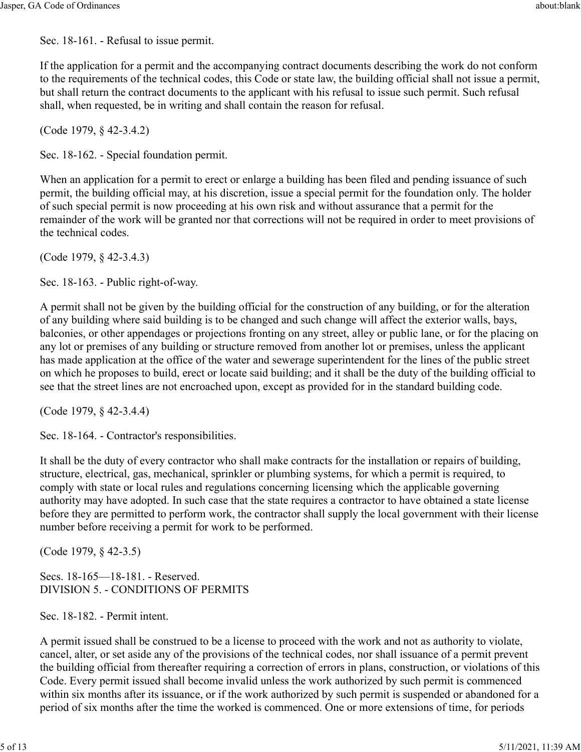Sec. 18-161. - Refusal to issue permit.

If the application for a permit and the accompanying contract documents describing the work do not conform to the requirements of the technical codes, this Code or state law, the building official shall not issue a permit, but shall return the contract documents to the applicant with his refusal to issue such permit. Such refusal shall, when requested, be in writing and shall contain the reason for refusal.

(Code 1979, § 42-3.4.2)

Sec. 18-162. - Special foundation permit.

When an application for a permit to erect or enlarge a building has been filed and pending issuance of such permit, the building official may, at his discretion, issue a special permit for the foundation only. The holder of such special permit is now proceeding at his own risk and without assurance that a permit for the remainder of the work will be granted nor that corrections will not be required in order to meet provisions of the technical codes.

(Code 1979, § 42-3.4.3)

Sec. 18-163. - Public right-of-way.

A permit shall not be given by the building official for the construction of any building, or for the alteration of any building where said building is to be changed and such change will affect the exterior walls, bays, balconies, or other appendages or projections fronting on any street, alley or public lane, or for the placing on any lot or premises of any building or structure removed from another lot or premises, unless the applicant has made application at the office of the water and sewerage superintendent for the lines of the public street on which he proposes to build, erect or locate said building; and it shall be the duty of the building official to see that the street lines are not encroached upon, except as provided for in the standard building code.

(Code 1979, § 42-3.4.4)

Sec. 18-164. - Contractor's responsibilities.

It shall be the duty of every contractor who shall make contracts for the installation or repairs of building, structure, electrical, gas, mechanical, sprinkler or plumbing systems, for which a permit is required, to comply with state or local rules and regulations concerning licensing which the applicable governing authority may have adopted. In such case that the state requires a contractor to have obtained a state license before they are permitted to perform work, the contractor shall supply the local government with their license number before receiving a permit for work to be performed.

(Code 1979, § 42-3.5)

Secs. 18-165—18-181. - Reserved. DIVISION 5. - CONDITIONS OF PERMITS

Sec. 18-182. - Permit intent.

A permit issued shall be construed to be a license to proceed with the work and not as authority to violate, cancel, alter, or set aside any of the provisions of the technical codes, nor shall issuance of a permit prevent the building official from thereafter requiring a correction of errors in plans, construction, or violations of this Code. Every permit issued shall become invalid unless the work authorized by such permit is commenced within six months after its issuance, or if the work authorized by such permit is suspended or abandoned for a period of six months after the time the worked is commenced. One or more extensions of time, for periods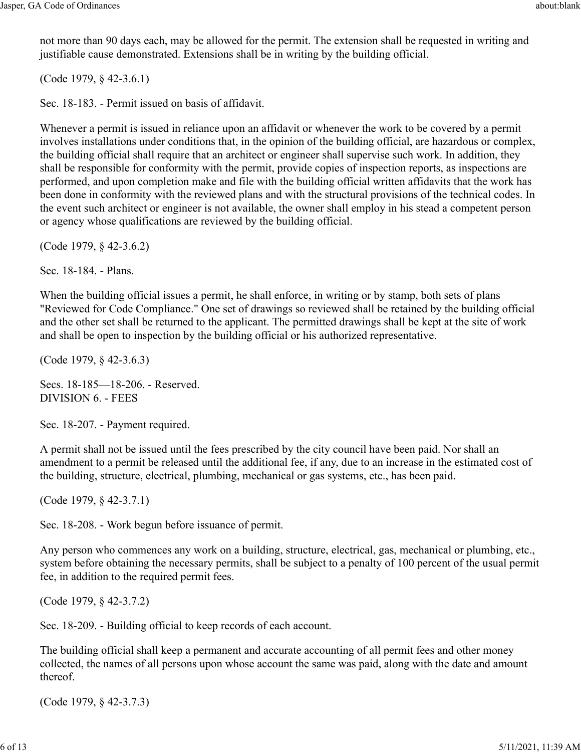not more than 90 days each, may be allowed for the permit. The extension shall be requested in writing and justifiable cause demonstrated. Extensions shall be in writing by the building official.

(Code 1979, § 42-3.6.1)

Sec. 18-183. - Permit issued on basis of affidavit.

Whenever a permit is issued in reliance upon an affidavit or whenever the work to be covered by a permit involves installations under conditions that, in the opinion of the building official, are hazardous or complex, the building official shall require that an architect or engineer shall supervise such work. In addition, they shall be responsible for conformity with the permit, provide copies of inspection reports, as inspections are performed, and upon completion make and file with the building official written affidavits that the work has been done in conformity with the reviewed plans and with the structural provisions of the technical codes. In the event such architect or engineer is not available, the owner shall employ in his stead a competent person or agency whose qualifications are reviewed by the building official.

(Code 1979, § 42-3.6.2)

Sec. 18-184. - Plans.

When the building official issues a permit, he shall enforce, in writing or by stamp, both sets of plans "Reviewed for Code Compliance." One set of drawings so reviewed shall be retained by the building official and the other set shall be returned to the applicant. The permitted drawings shall be kept at the site of work and shall be open to inspection by the building official or his authorized representative.

(Code 1979, § 42-3.6.3)

Secs. 18-185—18-206. - Reserved. DIVISION 6. - FEES

Sec. 18-207. - Payment required.

A permit shall not be issued until the fees prescribed by the city council have been paid. Nor shall an amendment to a permit be released until the additional fee, if any, due to an increase in the estimated cost of the building, structure, electrical, plumbing, mechanical or gas systems, etc., has been paid.

(Code 1979, § 42-3.7.1)

Sec. 18-208. - Work begun before issuance of permit.

Any person who commences any work on a building, structure, electrical, gas, mechanical or plumbing, etc., system before obtaining the necessary permits, shall be subject to a penalty of 100 percent of the usual permit fee, in addition to the required permit fees.

(Code 1979, § 42-3.7.2)

Sec. 18-209. - Building official to keep records of each account.

The building official shall keep a permanent and accurate accounting of all permit fees and other money collected, the names of all persons upon whose account the same was paid, along with the date and amount thereof.

(Code 1979, § 42-3.7.3)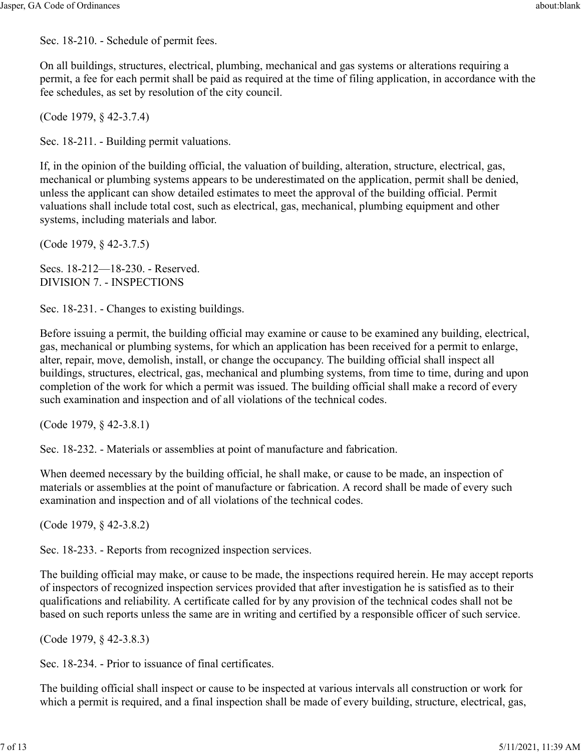Sec. 18-210. - Schedule of permit fees.

On all buildings, structures, electrical, plumbing, mechanical and gas systems or alterations requiring a permit, a fee for each permit shall be paid as required at the time of filing application, in accordance with the fee schedules, as set by resolution of the city council.

(Code 1979, § 42-3.7.4)

Sec. 18-211. - Building permit valuations.

If, in the opinion of the building official, the valuation of building, alteration, structure, electrical, gas, mechanical or plumbing systems appears to be underestimated on the application, permit shall be denied, unless the applicant can show detailed estimates to meet the approval of the building official. Permit valuations shall include total cost, such as electrical, gas, mechanical, plumbing equipment and other systems, including materials and labor.

(Code 1979, § 42-3.7.5)

Secs. 18-212—18-230. - Reserved. DIVISION 7. - INSPECTIONS

Sec. 18-231. - Changes to existing buildings.

Before issuing a permit, the building official may examine or cause to be examined any building, electrical, gas, mechanical or plumbing systems, for which an application has been received for a permit to enlarge, alter, repair, move, demolish, install, or change the occupancy. The building official shall inspect all buildings, structures, electrical, gas, mechanical and plumbing systems, from time to time, during and upon completion of the work for which a permit was issued. The building official shall make a record of every such examination and inspection and of all violations of the technical codes.

(Code 1979, § 42-3.8.1)

Sec. 18-232. - Materials or assemblies at point of manufacture and fabrication.

When deemed necessary by the building official, he shall make, or cause to be made, an inspection of materials or assemblies at the point of manufacture or fabrication. A record shall be made of every such examination and inspection and of all violations of the technical codes.

(Code 1979, § 42-3.8.2)

Sec. 18-233. - Reports from recognized inspection services.

The building official may make, or cause to be made, the inspections required herein. He may accept reports of inspectors of recognized inspection services provided that after investigation he is satisfied as to their qualifications and reliability. A certificate called for by any provision of the technical codes shall not be based on such reports unless the same are in writing and certified by a responsible officer of such service.

(Code 1979, § 42-3.8.3)

Sec. 18-234. - Prior to issuance of final certificates.

The building official shall inspect or cause to be inspected at various intervals all construction or work for which a permit is required, and a final inspection shall be made of every building, structure, electrical, gas,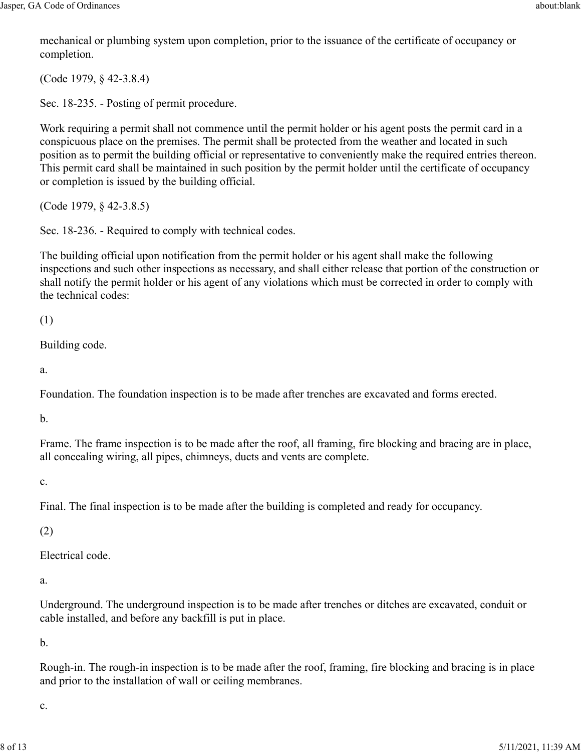mechanical or plumbing system upon completion, prior to the issuance of the certificate of occupancy or completion.

(Code 1979, § 42-3.8.4)

Sec. 18-235. - Posting of permit procedure.

Work requiring a permit shall not commence until the permit holder or his agent posts the permit card in a conspicuous place on the premises. The permit shall be protected from the weather and located in such position as to permit the building official or representative to conveniently make the required entries thereon. This permit card shall be maintained in such position by the permit holder until the certificate of occupancy or completion is issued by the building official.

(Code 1979, § 42-3.8.5)

Sec. 18-236. - Required to comply with technical codes.

The building official upon notification from the permit holder or his agent shall make the following inspections and such other inspections as necessary, and shall either release that portion of the construction or shall notify the permit holder or his agent of any violations which must be corrected in order to comply with the technical codes:

(1)

Building code.

a.

Foundation. The foundation inspection is to be made after trenches are excavated and forms erected.

b.

Frame. The frame inspection is to be made after the roof, all framing, fire blocking and bracing are in place, all concealing wiring, all pipes, chimneys, ducts and vents are complete.

c.

Final. The final inspection is to be made after the building is completed and ready for occupancy.

(2)

Electrical code.

a.

Underground. The underground inspection is to be made after trenches or ditches are excavated, conduit or cable installed, and before any backfill is put in place.

b.

Rough-in. The rough-in inspection is to be made after the roof, framing, fire blocking and bracing is in place and prior to the installation of wall or ceiling membranes.

c.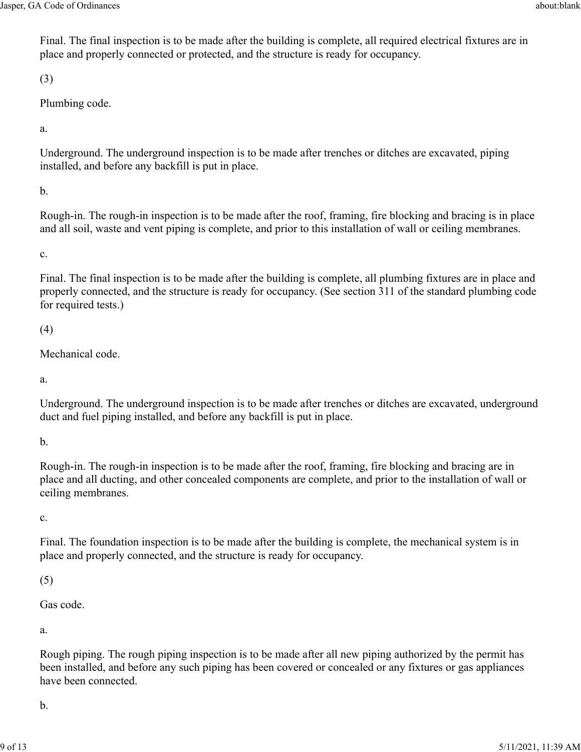Final. The final inspection is to be made after the building is complete, all required electrical fixtures are in place and properly connected or protected, and the structure is ready for occupancy.

(3)

Plumbing code.

a.

Underground. The underground inspection is to be made after trenches or ditches are excavated, piping installed, and before any backfill is put in place.

b.

Rough-in. The rough-in inspection is to be made after the roof, framing, fire blocking and bracing is in place and all soil, waste and vent piping is complete, and prior to this installation of wall or ceiling membranes.

c.

Final. The final inspection is to be made after the building is complete, all plumbing fixtures are in place and properly connected, and the structure is ready for occupancy. (See section 311 of the standard plumbing code for required tests.)

(4)

Mechanical code.

a.

Underground. The underground inspection is to be made after trenches or ditches are excavated, underground duct and fuel piping installed, and before any backfill is put in place.

b.

Rough-in. The rough-in inspection is to be made after the roof, framing, fire blocking and bracing are in place and all ducting, and other concealed components are complete, and prior to the installation of wall or ceiling membranes.

c.

Final. The foundation inspection is to be made after the building is complete, the mechanical system is in place and properly connected, and the structure is ready for occupancy.

(5)

Gas code.

a.

Rough piping. The rough piping inspection is to be made after all new piping authorized by the permit has been installed, and before any such piping has been covered or concealed or any fixtures or gas appliances have been connected.

b.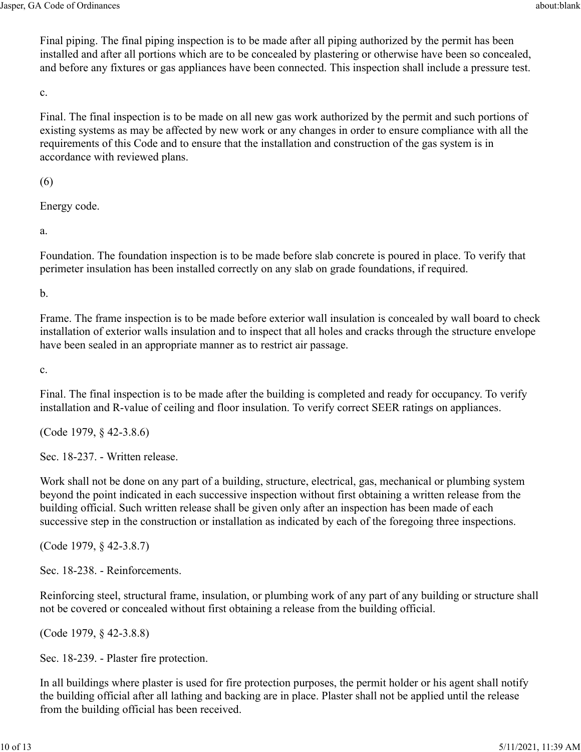Final piping. The final piping inspection is to be made after all piping authorized by the permit has been installed and after all portions which are to be concealed by plastering or otherwise have been so concealed, and before any fixtures or gas appliances have been connected. This inspection shall include a pressure test.

c.

Final. The final inspection is to be made on all new gas work authorized by the permit and such portions of existing systems as may be affected by new work or any changes in order to ensure compliance with all the requirements of this Code and to ensure that the installation and construction of the gas system is in accordance with reviewed plans.

(6)

Energy code.

a.

Foundation. The foundation inspection is to be made before slab concrete is poured in place. To verify that perimeter insulation has been installed correctly on any slab on grade foundations, if required.

b.

Frame. The frame inspection is to be made before exterior wall insulation is concealed by wall board to check installation of exterior walls insulation and to inspect that all holes and cracks through the structure envelope have been sealed in an appropriate manner as to restrict air passage.

c.

Final. The final inspection is to be made after the building is completed and ready for occupancy. To verify installation and R-value of ceiling and floor insulation. To verify correct SEER ratings on appliances.

(Code 1979, § 42-3.8.6)

Sec. 18-237. - Written release.

Work shall not be done on any part of a building, structure, electrical, gas, mechanical or plumbing system beyond the point indicated in each successive inspection without first obtaining a written release from the building official. Such written release shall be given only after an inspection has been made of each successive step in the construction or installation as indicated by each of the foregoing three inspections.

(Code 1979, § 42-3.8.7)

Sec. 18-238. - Reinforcements.

Reinforcing steel, structural frame, insulation, or plumbing work of any part of any building or structure shall not be covered or concealed without first obtaining a release from the building official.

(Code 1979, § 42-3.8.8)

Sec. 18-239. - Plaster fire protection.

In all buildings where plaster is used for fire protection purposes, the permit holder or his agent shall notify the building official after all lathing and backing are in place. Plaster shall not be applied until the release from the building official has been received.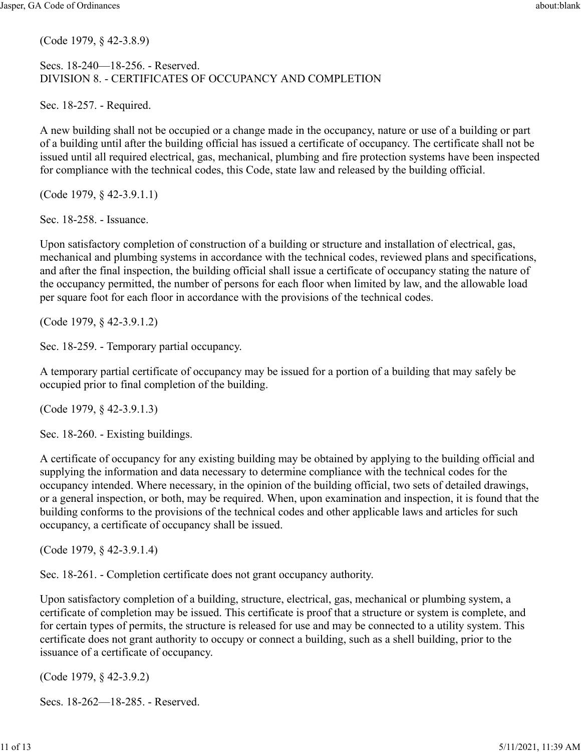(Code 1979, § 42-3.8.9)

## Secs. 18-240—18-256. - Reserved. DIVISION 8. - CERTIFICATES OF OCCUPANCY AND COMPLETION

Sec. 18-257. - Required.

A new building shall not be occupied or a change made in the occupancy, nature or use of a building or part of a building until after the building official has issued a certificate of occupancy. The certificate shall not be issued until all required electrical, gas, mechanical, plumbing and fire protection systems have been inspected for compliance with the technical codes, this Code, state law and released by the building official.

(Code 1979, § 42-3.9.1.1)

Sec. 18-258. - Issuance.

Upon satisfactory completion of construction of a building or structure and installation of electrical, gas, mechanical and plumbing systems in accordance with the technical codes, reviewed plans and specifications, and after the final inspection, the building official shall issue a certificate of occupancy stating the nature of the occupancy permitted, the number of persons for each floor when limited by law, and the allowable load per square foot for each floor in accordance with the provisions of the technical codes.

(Code 1979, § 42-3.9.1.2)

Sec. 18-259. - Temporary partial occupancy.

A temporary partial certificate of occupancy may be issued for a portion of a building that may safely be occupied prior to final completion of the building.

(Code 1979, § 42-3.9.1.3)

Sec. 18-260. - Existing buildings.

A certificate of occupancy for any existing building may be obtained by applying to the building official and supplying the information and data necessary to determine compliance with the technical codes for the occupancy intended. Where necessary, in the opinion of the building official, two sets of detailed drawings, or a general inspection, or both, may be required. When, upon examination and inspection, it is found that the building conforms to the provisions of the technical codes and other applicable laws and articles for such occupancy, a certificate of occupancy shall be issued.

(Code 1979, § 42-3.9.1.4)

Sec. 18-261. - Completion certificate does not grant occupancy authority.

Upon satisfactory completion of a building, structure, electrical, gas, mechanical or plumbing system, a certificate of completion may be issued. This certificate is proof that a structure or system is complete, and for certain types of permits, the structure is released for use and may be connected to a utility system. This certificate does not grant authority to occupy or connect a building, such as a shell building, prior to the issuance of a certificate of occupancy.

(Code 1979, § 42-3.9.2)

Secs. 18-262—18-285. - Reserved.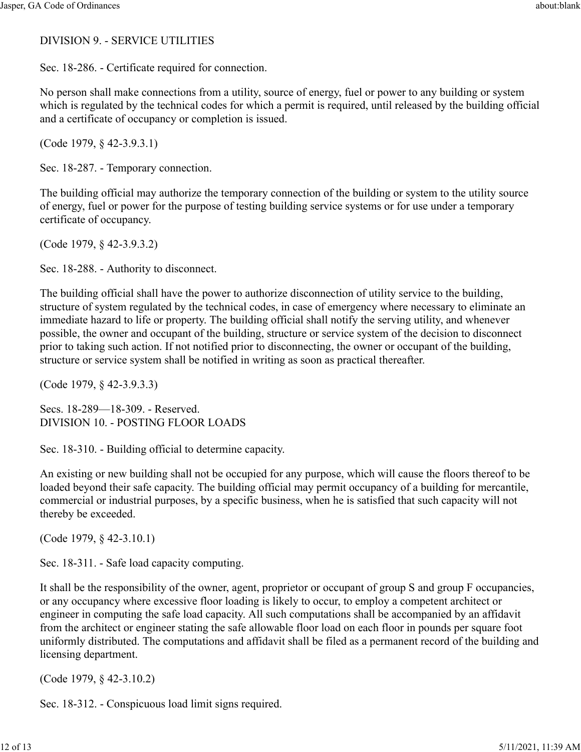## DIVISION 9. - SERVICE UTILITIES

Sec. 18-286. - Certificate required for connection.

No person shall make connections from a utility, source of energy, fuel or power to any building or system which is regulated by the technical codes for which a permit is required, until released by the building official and a certificate of occupancy or completion is issued.

(Code 1979, § 42-3.9.3.1)

Sec. 18-287. - Temporary connection.

The building official may authorize the temporary connection of the building or system to the utility source of energy, fuel or power for the purpose of testing building service systems or for use under a temporary certificate of occupancy.

(Code 1979, § 42-3.9.3.2)

Sec. 18-288. - Authority to disconnect.

The building official shall have the power to authorize disconnection of utility service to the building, structure of system regulated by the technical codes, in case of emergency where necessary to eliminate an immediate hazard to life or property. The building official shall notify the serving utility, and whenever possible, the owner and occupant of the building, structure or service system of the decision to disconnect prior to taking such action. If not notified prior to disconnecting, the owner or occupant of the building, structure or service system shall be notified in writing as soon as practical thereafter.

(Code 1979, § 42-3.9.3.3)

Secs. 18-289—18-309. - Reserved. DIVISION 10. - POSTING FLOOR LOADS

Sec. 18-310. - Building official to determine capacity.

An existing or new building shall not be occupied for any purpose, which will cause the floors thereof to be loaded beyond their safe capacity. The building official may permit occupancy of a building for mercantile, commercial or industrial purposes, by a specific business, when he is satisfied that such capacity will not thereby be exceeded.

(Code 1979, § 42-3.10.1)

Sec. 18-311. - Safe load capacity computing.

It shall be the responsibility of the owner, agent, proprietor or occupant of group S and group F occupancies, or any occupancy where excessive floor loading is likely to occur, to employ a competent architect or engineer in computing the safe load capacity. All such computations shall be accompanied by an affidavit from the architect or engineer stating the safe allowable floor load on each floor in pounds per square foot uniformly distributed. The computations and affidavit shall be filed as a permanent record of the building and licensing department.

(Code 1979, § 42-3.10.2)

Sec. 18-312. - Conspicuous load limit signs required.